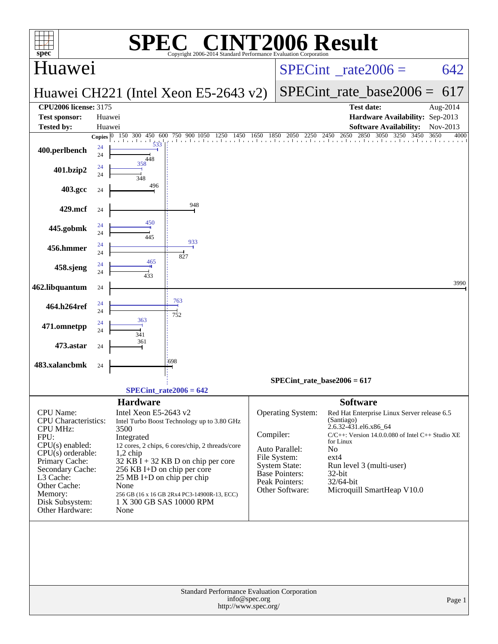| $spec^*$                                                                                                                                              | SPI                                                       | <b>C® CINT2006 Result</b><br>Copyright 2006-2014 Standard Performance Evaluation Corporation                                                                                  |               |                                                                                                      |                                                                                                                                                                                                                                 |          |
|-------------------------------------------------------------------------------------------------------------------------------------------------------|-----------------------------------------------------------|-------------------------------------------------------------------------------------------------------------------------------------------------------------------------------|---------------|------------------------------------------------------------------------------------------------------|---------------------------------------------------------------------------------------------------------------------------------------------------------------------------------------------------------------------------------|----------|
| Huawei                                                                                                                                                |                                                           |                                                                                                                                                                               |               |                                                                                                      | $SPECint^{\circ}$ <sub>_rate2006</sub> =                                                                                                                                                                                        | 642      |
|                                                                                                                                                       |                                                           | Huawei CH221 (Intel Xeon E5-2643 v2)                                                                                                                                          |               |                                                                                                      | $SPECint_rate\_base2006 =$                                                                                                                                                                                                      | 617      |
| <b>CPU2006 license: 3175</b>                                                                                                                          |                                                           |                                                                                                                                                                               |               |                                                                                                      | <b>Test date:</b>                                                                                                                                                                                                               | Aug-2014 |
| <b>Test sponsor:</b><br><b>Tested by:</b>                                                                                                             | Huawei<br>Huawei                                          |                                                                                                                                                                               |               |                                                                                                      | Hardware Availability: Sep-2013<br><b>Software Availability:</b>                                                                                                                                                                | Nov-2013 |
|                                                                                                                                                       | Copies $ 0 $<br>150 300<br>450 600                        | 750 900 1050 1250<br>1450<br>the chemical continued and continued are the collected and continued                                                                             | 1650<br>1850  | 2050                                                                                                 | 2250 2450 2650 2850 3050 3250 3450<br>3650                                                                                                                                                                                      | 4000     |
| 400.perlbench                                                                                                                                         | 533<br>24<br>24<br>448                                    |                                                                                                                                                                               |               |                                                                                                      |                                                                                                                                                                                                                                 |          |
| 401.bzip2                                                                                                                                             | 358<br>24<br>24<br>348                                    |                                                                                                                                                                               |               |                                                                                                      |                                                                                                                                                                                                                                 |          |
| 403.gcc                                                                                                                                               | 496<br>24                                                 |                                                                                                                                                                               |               |                                                                                                      |                                                                                                                                                                                                                                 |          |
| 429.mcf                                                                                                                                               | 24<br>450                                                 | 948                                                                                                                                                                           |               |                                                                                                      |                                                                                                                                                                                                                                 |          |
| 445.gobmk                                                                                                                                             | 24<br>24<br>445                                           | 933                                                                                                                                                                           |               |                                                                                                      |                                                                                                                                                                                                                                 |          |
| 456.hmmer                                                                                                                                             | 24<br>24<br>465                                           | 827                                                                                                                                                                           |               |                                                                                                      |                                                                                                                                                                                                                                 |          |
| 458.sjeng                                                                                                                                             | 24<br>24<br>433                                           |                                                                                                                                                                               |               |                                                                                                      |                                                                                                                                                                                                                                 | 3990     |
| 462.libquantum                                                                                                                                        | 24                                                        |                                                                                                                                                                               |               |                                                                                                      |                                                                                                                                                                                                                                 |          |
| 464.h264ref                                                                                                                                           | 24<br>24                                                  | 763<br>752                                                                                                                                                                    |               |                                                                                                      |                                                                                                                                                                                                                                 |          |
| 471.omnetpp                                                                                                                                           | 363<br>24<br>24<br>341                                    |                                                                                                                                                                               |               |                                                                                                      |                                                                                                                                                                                                                                 |          |
| 473.astar                                                                                                                                             | 361<br>24                                                 |                                                                                                                                                                               |               |                                                                                                      |                                                                                                                                                                                                                                 |          |
| 483.xalancbmk                                                                                                                                         | 24                                                        | :698                                                                                                                                                                          |               |                                                                                                      |                                                                                                                                                                                                                                 |          |
|                                                                                                                                                       |                                                           |                                                                                                                                                                               |               |                                                                                                      | SPECint rate base $2006 = 617$                                                                                                                                                                                                  |          |
|                                                                                                                                                       | <b>Hardware</b>                                           | $SPECint_rate2006 = 642$                                                                                                                                                      |               |                                                                                                      | <b>Software</b>                                                                                                                                                                                                                 |          |
| CPU Name:<br><b>CPU</b> Characteristics:<br><b>CPU MHz:</b><br>FPU:<br>$CPU(s)$ enabled:<br>$CPU(s)$ orderable:<br>Primary Cache:<br>Secondary Cache: | Intel Xeon E5-2643 v2<br>3500<br>Integrated<br>$1,2$ chip | Intel Turbo Boost Technology up to 3.80 GHz<br>12 cores, 2 chips, 6 cores/chip, 2 threads/core<br>$32$ KB $\bar{1}$ + 32 KB D on chip per core<br>256 KB I+D on chip per core | Compiler:     | Operating System:<br>Auto Parallel:<br>File System:<br><b>System State:</b><br><b>Base Pointers:</b> | Red Hat Enterprise Linux Server release 6.5<br>(Santiago)<br>2.6.32-431.el6.x86_64<br>$C/C++$ : Version 14.0.0.080 of Intel $C++$ Studio XE<br>for Linux<br>N <sub>o</sub><br>$ext{4}$<br>Run level 3 (multi-user)<br>$32$ -bit |          |
| L3 Cache:<br>Other Cache:<br>Memory:<br>Disk Subsystem:<br>Other Hardware:                                                                            | None<br>None                                              | $25 \text{ MB I+D}$ on chip per chip<br>256 GB (16 x 16 GB 2Rx4 PC3-14900R-13, ECC)<br>1 X 300 GB SAS 10000 RPM                                                               |               | Peak Pointers:<br>Other Software:                                                                    | 32/64-bit<br>Microquill SmartHeap V10.0                                                                                                                                                                                         |          |
|                                                                                                                                                       |                                                           | Standard Performance Evaluation Corporation<br>http://www.spec.org/                                                                                                           | info@spec.org |                                                                                                      |                                                                                                                                                                                                                                 | Page 1   |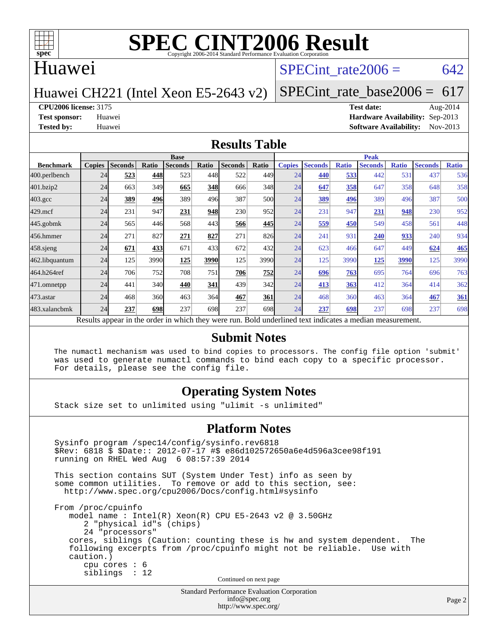

#### Huawei

#### SPECint rate  $2006 = 642$

Huawei CH221 (Intel Xeon E5-2643 v2)

[SPECint\\_rate\\_base2006 =](http://www.spec.org/auto/cpu2006/Docs/result-fields.html#SPECintratebase2006)  $617$ 

**[CPU2006 license:](http://www.spec.org/auto/cpu2006/Docs/result-fields.html#CPU2006license)** 3175 **[Test date:](http://www.spec.org/auto/cpu2006/Docs/result-fields.html#Testdate)** Aug-2014

**[Test sponsor:](http://www.spec.org/auto/cpu2006/Docs/result-fields.html#Testsponsor)** Huawei **[Hardware Availability:](http://www.spec.org/auto/cpu2006/Docs/result-fields.html#HardwareAvailability)** Sep-2013 **[Tested by:](http://www.spec.org/auto/cpu2006/Docs/result-fields.html#Testedby)** Huawei **[Software Availability:](http://www.spec.org/auto/cpu2006/Docs/result-fields.html#SoftwareAvailability)** Nov-2013

#### **[Results Table](http://www.spec.org/auto/cpu2006/Docs/result-fields.html#ResultsTable)**

|                                                                                                          | <b>Base</b>   |                |       |                |       |                | <b>Peak</b> |               |                |              |                |              |                |              |
|----------------------------------------------------------------------------------------------------------|---------------|----------------|-------|----------------|-------|----------------|-------------|---------------|----------------|--------------|----------------|--------------|----------------|--------------|
| <b>Benchmark</b>                                                                                         | <b>Copies</b> | <b>Seconds</b> | Ratio | <b>Seconds</b> | Ratio | <b>Seconds</b> | Ratio       | <b>Copies</b> | <b>Seconds</b> | <b>Ratio</b> | <b>Seconds</b> | <b>Ratio</b> | <b>Seconds</b> | <b>Ratio</b> |
| 400.perlbench                                                                                            | 24            | 523            | 448   | 523            | 448   | 522            | 449         | 24            | 440            | 533          | 442            | 531          | 437            | 536          |
| 401.bzip2                                                                                                | 24            | 663            | 349   | 665            | 348   | 666            | 348         | 24            | 647            | 358          | 647            | 358          | 648            | 358          |
| $403.\text{gcc}$                                                                                         | 24            | 389            | 496   | 389            | 496   | 387            | 500l        | 24            | 389            | 496          | 389            | 496          | 387            | 500          |
| $429$ .mcf                                                                                               | 24            | 231            | 947   | 231            | 948   | 230            | 952         | 24            | 231            | 947          | 231            | 948          | 230            | 952          |
| $445$ .gobmk                                                                                             | 24            | 565            | 446   | 568            | 443   | 566            | 445         | 24            | 559            | 450          | 549            | 458          | 561            | 448          |
| 456.hmmer                                                                                                | 24            | 271            | 827   | 271            | 827   | 271            | 826         | 24            | 241            | 931          | 240            | 933          | 240            | 934          |
| $458$ .sjeng                                                                                             | 24            | 671            | 433   | 671            | 433   | 672            | 432         | 24            | 623            | 466          | 647            | 449          | 624            | 465          |
| 462.libquantum                                                                                           | 24            | 125            | 3990  | 125            | 3990  | 125            | 3990        | 24            | 125            | 3990         | 125            | 3990         | 125            | 3990         |
| 464.h264ref                                                                                              | 24            | 706            | 752   | 708            | 751   | 706            | 752         | 24            | 696            | 763          | 695            | 764          | 696            | 763          |
| 471.omnetpp                                                                                              | 24            | 441            | 340   | 440            | 341   | 439            | 342         | 24            | 413            | 363          | 412            | 364          | 414            | 362          |
| 473.astar                                                                                                | 24            | 468            | 360   | 463            | 364   | 467            | 361         | 24            | 468            | 360          | 463            | 364          | 467            | 361          |
| 483.xalancbmk                                                                                            | 24            | 237            | 698   | 237            | 698   | 237            | 698         | 24            | 237            | 698          | 237            | 698          | 237            | 698          |
| Results appear in the order in which they were run. Bold underlined text indicates a median measurement. |               |                |       |                |       |                |             |               |                |              |                |              |                |              |

#### **[Submit Notes](http://www.spec.org/auto/cpu2006/Docs/result-fields.html#SubmitNotes)**

 The numactl mechanism was used to bind copies to processors. The config file option 'submit' was used to generate numactl commands to bind each copy to a specific processor. For details, please see the config file.

#### **[Operating System Notes](http://www.spec.org/auto/cpu2006/Docs/result-fields.html#OperatingSystemNotes)**

Stack size set to unlimited using "ulimit -s unlimited"

#### **[Platform Notes](http://www.spec.org/auto/cpu2006/Docs/result-fields.html#PlatformNotes)**

Standard Performance Evaluation Corporation Sysinfo program /spec14/config/sysinfo.rev6818 \$Rev: 6818 \$ \$Date:: 2012-07-17 #\$ e86d102572650a6e4d596a3cee98f191 running on RHEL Wed Aug 6 08:57:39 2014 This section contains SUT (System Under Test) info as seen by some common utilities. To remove or add to this section, see: <http://www.spec.org/cpu2006/Docs/config.html#sysinfo> From /proc/cpuinfo model name : Intel(R) Xeon(R) CPU E5-2643 v2 @ 3.50GHz 2 "physical id"s (chips) 24 "processors" cores, siblings (Caution: counting these is hw and system dependent. The following excerpts from /proc/cpuinfo might not be reliable. Use with caution.) cpu cores : 6 siblings : 12 Continued on next page

[info@spec.org](mailto:info@spec.org) <http://www.spec.org/>

Page 2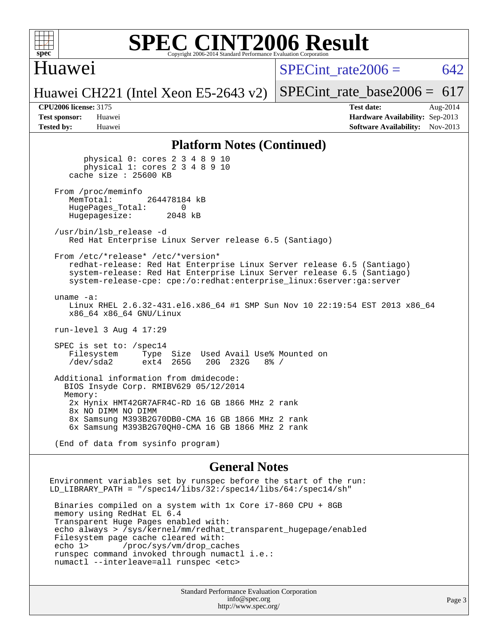

#### Huawei

SPECint rate $2006 = 642$ 

Huawei CH221 (Intel Xeon E5-2643 v2)

[SPECint\\_rate\\_base2006 =](http://www.spec.org/auto/cpu2006/Docs/result-fields.html#SPECintratebase2006)  $617$ 

**[CPU2006 license:](http://www.spec.org/auto/cpu2006/Docs/result-fields.html#CPU2006license)** 3175 **[Test date:](http://www.spec.org/auto/cpu2006/Docs/result-fields.html#Testdate)** Aug-2014 **[Test sponsor:](http://www.spec.org/auto/cpu2006/Docs/result-fields.html#Testsponsor)** Huawei **[Hardware Availability:](http://www.spec.org/auto/cpu2006/Docs/result-fields.html#HardwareAvailability)** Sep-2013 **[Tested by:](http://www.spec.org/auto/cpu2006/Docs/result-fields.html#Testedby)** Huawei **[Software Availability:](http://www.spec.org/auto/cpu2006/Docs/result-fields.html#SoftwareAvailability)** Nov-2013

#### **[Platform Notes \(Continued\)](http://www.spec.org/auto/cpu2006/Docs/result-fields.html#PlatformNotes)**

 physical 0: cores 2 3 4 8 9 10 physical 1: cores 2 3 4 8 9 10 cache size : 25600 KB From /proc/meminfo<br>MemTotal: 264478184 kB HugePages\_Total: 0<br>Hugepagesize: 2048 kB Hugepagesize: /usr/bin/lsb\_release -d Red Hat Enterprise Linux Server release 6.5 (Santiago) From /etc/\*release\* /etc/\*version\* redhat-release: Red Hat Enterprise Linux Server release 6.5 (Santiago) system-release: Red Hat Enterprise Linux Server release 6.5 (Santiago) system-release-cpe: cpe:/o:redhat:enterprise\_linux:6server:ga:server uname -a: Linux RHEL 2.6.32-431.el6.x86\_64 #1 SMP Sun Nov 10 22:19:54 EST 2013 x86\_64 x86\_64 x86\_64 GNU/Linux run-level 3 Aug 4 17:29 SPEC is set to: /spec14 Filesystem Type Size Used Avail Use% Mounted on<br>
/dev/sda2 ext4 265G 20G 232G 8% / /dev/sda2 ext4 265G 20G 232G 8% / Additional information from dmidecode: BIOS Insyde Corp. RMIBV629 05/12/2014 Memory: 2x Hynix HMT42GR7AFR4C-RD 16 GB 1866 MHz 2 rank 8x NO DIMM NO DIMM 8x Samsung M393B2G70DB0-CMA 16 GB 1866 MHz 2 rank 6x Samsung M393B2G70QH0-CMA 16 GB 1866 MHz 2 rank

(End of data from sysinfo program)

#### **[General Notes](http://www.spec.org/auto/cpu2006/Docs/result-fields.html#GeneralNotes)**

Environment variables set by runspec before the start of the run: LD LIBRARY PATH = "/spec14/libs/32:/spec14/libs/64:/spec14/sh" Binaries compiled on a system with 1x Core i7-860 CPU + 8GB memory using RedHat EL 6.4 Transparent Huge Pages enabled with: echo always > /sys/kernel/mm/redhat\_transparent\_hugepage/enabled Filesystem page cache cleared with: echo 1> /proc/sys/vm/drop\_caches runspec command invoked through numactl i.e.: numactl --interleave=all runspec <etc>

> Standard Performance Evaluation Corporation [info@spec.org](mailto:info@spec.org) <http://www.spec.org/>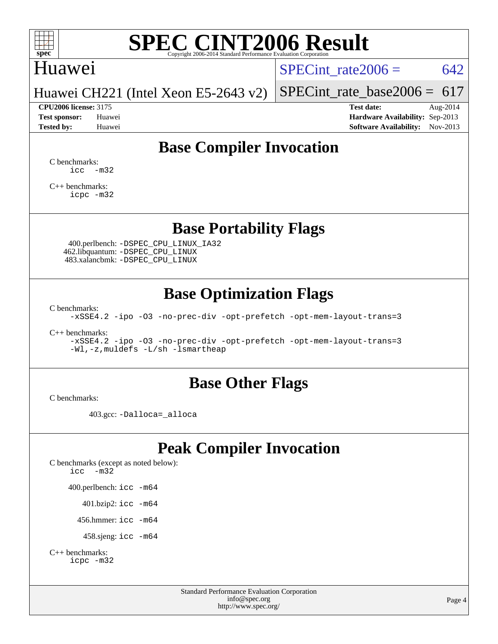

### Huawei

SPECint rate  $2006 = 642$ 

Huawei CH221 (Intel Xeon E5-2643 v2)

[SPECint\\_rate\\_base2006 =](http://www.spec.org/auto/cpu2006/Docs/result-fields.html#SPECintratebase2006)  $617$ **[CPU2006 license:](http://www.spec.org/auto/cpu2006/Docs/result-fields.html#CPU2006license)** 3175 **[Test date:](http://www.spec.org/auto/cpu2006/Docs/result-fields.html#Testdate)** Aug-2014

**[Test sponsor:](http://www.spec.org/auto/cpu2006/Docs/result-fields.html#Testsponsor)** Huawei **[Hardware Availability:](http://www.spec.org/auto/cpu2006/Docs/result-fields.html#HardwareAvailability)** Sep-2013 **[Tested by:](http://www.spec.org/auto/cpu2006/Docs/result-fields.html#Testedby)** Huawei **[Software Availability:](http://www.spec.org/auto/cpu2006/Docs/result-fields.html#SoftwareAvailability)** Nov-2013

### **[Base Compiler Invocation](http://www.spec.org/auto/cpu2006/Docs/result-fields.html#BaseCompilerInvocation)**

[C benchmarks](http://www.spec.org/auto/cpu2006/Docs/result-fields.html#Cbenchmarks):  $\text{icc}$   $-\text{m32}$ 

[C++ benchmarks:](http://www.spec.org/auto/cpu2006/Docs/result-fields.html#CXXbenchmarks) [icpc -m32](http://www.spec.org/cpu2006/results/res2014q3/cpu2006-20140820-30965.flags.html#user_CXXbase_intel_icpc_4e5a5ef1a53fd332b3c49e69c3330699)

#### **[Base Portability Flags](http://www.spec.org/auto/cpu2006/Docs/result-fields.html#BasePortabilityFlags)**

 400.perlbench: [-DSPEC\\_CPU\\_LINUX\\_IA32](http://www.spec.org/cpu2006/results/res2014q3/cpu2006-20140820-30965.flags.html#b400.perlbench_baseCPORTABILITY_DSPEC_CPU_LINUX_IA32) 462.libquantum: [-DSPEC\\_CPU\\_LINUX](http://www.spec.org/cpu2006/results/res2014q3/cpu2006-20140820-30965.flags.html#b462.libquantum_baseCPORTABILITY_DSPEC_CPU_LINUX) 483.xalancbmk: [-DSPEC\\_CPU\\_LINUX](http://www.spec.org/cpu2006/results/res2014q3/cpu2006-20140820-30965.flags.html#b483.xalancbmk_baseCXXPORTABILITY_DSPEC_CPU_LINUX)

### **[Base Optimization Flags](http://www.spec.org/auto/cpu2006/Docs/result-fields.html#BaseOptimizationFlags)**

[C benchmarks](http://www.spec.org/auto/cpu2006/Docs/result-fields.html#Cbenchmarks):

[-xSSE4.2](http://www.spec.org/cpu2006/results/res2014q3/cpu2006-20140820-30965.flags.html#user_CCbase_f-xSSE42_f91528193cf0b216347adb8b939d4107) [-ipo](http://www.spec.org/cpu2006/results/res2014q3/cpu2006-20140820-30965.flags.html#user_CCbase_f-ipo) [-O3](http://www.spec.org/cpu2006/results/res2014q3/cpu2006-20140820-30965.flags.html#user_CCbase_f-O3) [-no-prec-div](http://www.spec.org/cpu2006/results/res2014q3/cpu2006-20140820-30965.flags.html#user_CCbase_f-no-prec-div) [-opt-prefetch](http://www.spec.org/cpu2006/results/res2014q3/cpu2006-20140820-30965.flags.html#user_CCbase_f-opt-prefetch) [-opt-mem-layout-trans=3](http://www.spec.org/cpu2006/results/res2014q3/cpu2006-20140820-30965.flags.html#user_CCbase_f-opt-mem-layout-trans_a7b82ad4bd7abf52556d4961a2ae94d5)

[C++ benchmarks:](http://www.spec.org/auto/cpu2006/Docs/result-fields.html#CXXbenchmarks)

[-xSSE4.2](http://www.spec.org/cpu2006/results/res2014q3/cpu2006-20140820-30965.flags.html#user_CXXbase_f-xSSE42_f91528193cf0b216347adb8b939d4107) [-ipo](http://www.spec.org/cpu2006/results/res2014q3/cpu2006-20140820-30965.flags.html#user_CXXbase_f-ipo) [-O3](http://www.spec.org/cpu2006/results/res2014q3/cpu2006-20140820-30965.flags.html#user_CXXbase_f-O3) [-no-prec-div](http://www.spec.org/cpu2006/results/res2014q3/cpu2006-20140820-30965.flags.html#user_CXXbase_f-no-prec-div) [-opt-prefetch](http://www.spec.org/cpu2006/results/res2014q3/cpu2006-20140820-30965.flags.html#user_CXXbase_f-opt-prefetch) [-opt-mem-layout-trans=3](http://www.spec.org/cpu2006/results/res2014q3/cpu2006-20140820-30965.flags.html#user_CXXbase_f-opt-mem-layout-trans_a7b82ad4bd7abf52556d4961a2ae94d5) [-Wl,-z,muldefs](http://www.spec.org/cpu2006/results/res2014q3/cpu2006-20140820-30965.flags.html#user_CXXbase_link_force_multiple1_74079c344b956b9658436fd1b6dd3a8a) [-L/sh -lsmartheap](http://www.spec.org/cpu2006/results/res2014q3/cpu2006-20140820-30965.flags.html#user_CXXbase_SmartHeap_32f6c82aa1ed9c52345d30cf6e4a0499)

#### **[Base Other Flags](http://www.spec.org/auto/cpu2006/Docs/result-fields.html#BaseOtherFlags)**

[C benchmarks](http://www.spec.org/auto/cpu2006/Docs/result-fields.html#Cbenchmarks):

403.gcc: [-Dalloca=\\_alloca](http://www.spec.org/cpu2006/results/res2014q3/cpu2006-20140820-30965.flags.html#b403.gcc_baseEXTRA_CFLAGS_Dalloca_be3056838c12de2578596ca5467af7f3)

### **[Peak Compiler Invocation](http://www.spec.org/auto/cpu2006/Docs/result-fields.html#PeakCompilerInvocation)**

[C benchmarks \(except as noted below\)](http://www.spec.org/auto/cpu2006/Docs/result-fields.html#Cbenchmarksexceptasnotedbelow): [icc -m32](http://www.spec.org/cpu2006/results/res2014q3/cpu2006-20140820-30965.flags.html#user_CCpeak_intel_icc_5ff4a39e364c98233615fdd38438c6f2) 400.perlbench: [icc -m64](http://www.spec.org/cpu2006/results/res2014q3/cpu2006-20140820-30965.flags.html#user_peakCCLD400_perlbench_intel_icc_64bit_bda6cc9af1fdbb0edc3795bac97ada53) 401.bzip2: [icc -m64](http://www.spec.org/cpu2006/results/res2014q3/cpu2006-20140820-30965.flags.html#user_peakCCLD401_bzip2_intel_icc_64bit_bda6cc9af1fdbb0edc3795bac97ada53)

456.hmmer: [icc -m64](http://www.spec.org/cpu2006/results/res2014q3/cpu2006-20140820-30965.flags.html#user_peakCCLD456_hmmer_intel_icc_64bit_bda6cc9af1fdbb0edc3795bac97ada53)

458.sjeng: [icc -m64](http://www.spec.org/cpu2006/results/res2014q3/cpu2006-20140820-30965.flags.html#user_peakCCLD458_sjeng_intel_icc_64bit_bda6cc9af1fdbb0edc3795bac97ada53)

```
C++ benchmarks: 
    icpc -m32
```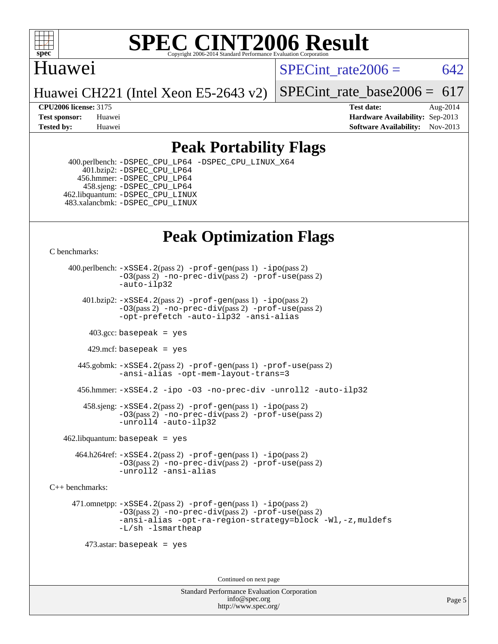

#### Huawei

SPECint rate $2006 = 642$ 

Huawei CH221 (Intel Xeon E5-2643 v2)

SPECint rate base2006 =  $617$ 

**[CPU2006 license:](http://www.spec.org/auto/cpu2006/Docs/result-fields.html#CPU2006license)** 3175 **[Test date:](http://www.spec.org/auto/cpu2006/Docs/result-fields.html#Testdate)** Aug-2014 **[Test sponsor:](http://www.spec.org/auto/cpu2006/Docs/result-fields.html#Testsponsor)** Huawei **[Hardware Availability:](http://www.spec.org/auto/cpu2006/Docs/result-fields.html#HardwareAvailability)** Sep-2013 **[Tested by:](http://www.spec.org/auto/cpu2006/Docs/result-fields.html#Testedby)** Huawei **[Software Availability:](http://www.spec.org/auto/cpu2006/Docs/result-fields.html#SoftwareAvailability)** Nov-2013

### **[Peak Portability Flags](http://www.spec.org/auto/cpu2006/Docs/result-fields.html#PeakPortabilityFlags)**

 400.perlbench: [-DSPEC\\_CPU\\_LP64](http://www.spec.org/cpu2006/results/res2014q3/cpu2006-20140820-30965.flags.html#b400.perlbench_peakCPORTABILITY_DSPEC_CPU_LP64) [-DSPEC\\_CPU\\_LINUX\\_X64](http://www.spec.org/cpu2006/results/res2014q3/cpu2006-20140820-30965.flags.html#b400.perlbench_peakCPORTABILITY_DSPEC_CPU_LINUX_X64) 401.bzip2: [-DSPEC\\_CPU\\_LP64](http://www.spec.org/cpu2006/results/res2014q3/cpu2006-20140820-30965.flags.html#suite_peakCPORTABILITY401_bzip2_DSPEC_CPU_LP64) 456.hmmer: [-DSPEC\\_CPU\\_LP64](http://www.spec.org/cpu2006/results/res2014q3/cpu2006-20140820-30965.flags.html#suite_peakCPORTABILITY456_hmmer_DSPEC_CPU_LP64) 458.sjeng: [-DSPEC\\_CPU\\_LP64](http://www.spec.org/cpu2006/results/res2014q3/cpu2006-20140820-30965.flags.html#suite_peakCPORTABILITY458_sjeng_DSPEC_CPU_LP64) 462.libquantum: [-DSPEC\\_CPU\\_LINUX](http://www.spec.org/cpu2006/results/res2014q3/cpu2006-20140820-30965.flags.html#b462.libquantum_peakCPORTABILITY_DSPEC_CPU_LINUX) 483.xalancbmk: [-DSPEC\\_CPU\\_LINUX](http://www.spec.org/cpu2006/results/res2014q3/cpu2006-20140820-30965.flags.html#b483.xalancbmk_peakCXXPORTABILITY_DSPEC_CPU_LINUX)

## **[Peak Optimization Flags](http://www.spec.org/auto/cpu2006/Docs/result-fields.html#PeakOptimizationFlags)**

[C benchmarks](http://www.spec.org/auto/cpu2006/Docs/result-fields.html#Cbenchmarks):

 400.perlbench: [-xSSE4.2](http://www.spec.org/cpu2006/results/res2014q3/cpu2006-20140820-30965.flags.html#user_peakPASS2_CFLAGSPASS2_LDCFLAGS400_perlbench_f-xSSE42_f91528193cf0b216347adb8b939d4107)(pass 2) [-prof-gen](http://www.spec.org/cpu2006/results/res2014q3/cpu2006-20140820-30965.flags.html#user_peakPASS1_CFLAGSPASS1_LDCFLAGS400_perlbench_prof_gen_e43856698f6ca7b7e442dfd80e94a8fc)(pass 1) [-ipo](http://www.spec.org/cpu2006/results/res2014q3/cpu2006-20140820-30965.flags.html#user_peakPASS2_CFLAGSPASS2_LDCFLAGS400_perlbench_f-ipo)(pass 2) [-O3](http://www.spec.org/cpu2006/results/res2014q3/cpu2006-20140820-30965.flags.html#user_peakPASS2_CFLAGSPASS2_LDCFLAGS400_perlbench_f-O3)(pass 2) [-no-prec-div](http://www.spec.org/cpu2006/results/res2014q3/cpu2006-20140820-30965.flags.html#user_peakPASS2_CFLAGSPASS2_LDCFLAGS400_perlbench_f-no-prec-div)(pass 2) [-prof-use](http://www.spec.org/cpu2006/results/res2014q3/cpu2006-20140820-30965.flags.html#user_peakPASS2_CFLAGSPASS2_LDCFLAGS400_perlbench_prof_use_bccf7792157ff70d64e32fe3e1250b55)(pass 2) [-auto-ilp32](http://www.spec.org/cpu2006/results/res2014q3/cpu2006-20140820-30965.flags.html#user_peakCOPTIMIZE400_perlbench_f-auto-ilp32)  $401.bzip2: -xSSE4.2(pass 2) -prof-qen(pass 1) -ipo(pass 2)$  $401.bzip2: -xSSE4.2(pass 2) -prof-qen(pass 1) -ipo(pass 2)$  $401.bzip2: -xSSE4.2(pass 2) -prof-qen(pass 1) -ipo(pass 2)$  $401.bzip2: -xSSE4.2(pass 2) -prof-qen(pass 1) -ipo(pass 2)$  $401.bzip2: -xSSE4.2(pass 2) -prof-qen(pass 1) -ipo(pass 2)$ [-O3](http://www.spec.org/cpu2006/results/res2014q3/cpu2006-20140820-30965.flags.html#user_peakPASS2_CFLAGSPASS2_LDCFLAGS401_bzip2_f-O3)(pass 2) [-no-prec-div](http://www.spec.org/cpu2006/results/res2014q3/cpu2006-20140820-30965.flags.html#user_peakPASS2_CFLAGSPASS2_LDCFLAGS401_bzip2_f-no-prec-div)(pass 2) [-prof-use](http://www.spec.org/cpu2006/results/res2014q3/cpu2006-20140820-30965.flags.html#user_peakPASS2_CFLAGSPASS2_LDCFLAGS401_bzip2_prof_use_bccf7792157ff70d64e32fe3e1250b55)(pass 2) [-opt-prefetch](http://www.spec.org/cpu2006/results/res2014q3/cpu2006-20140820-30965.flags.html#user_peakCOPTIMIZE401_bzip2_f-opt-prefetch) [-auto-ilp32](http://www.spec.org/cpu2006/results/res2014q3/cpu2006-20140820-30965.flags.html#user_peakCOPTIMIZE401_bzip2_f-auto-ilp32) [-ansi-alias](http://www.spec.org/cpu2006/results/res2014q3/cpu2006-20140820-30965.flags.html#user_peakCOPTIMIZE401_bzip2_f-ansi-alias)  $403.\text{sec: basepeak}$  = yes 429.mcf: basepeak = yes 445.gobmk: [-xSSE4.2](http://www.spec.org/cpu2006/results/res2014q3/cpu2006-20140820-30965.flags.html#user_peakPASS2_CFLAGSPASS2_LDCFLAGS445_gobmk_f-xSSE42_f91528193cf0b216347adb8b939d4107)(pass 2) [-prof-gen](http://www.spec.org/cpu2006/results/res2014q3/cpu2006-20140820-30965.flags.html#user_peakPASS1_CFLAGSPASS1_LDCFLAGS445_gobmk_prof_gen_e43856698f6ca7b7e442dfd80e94a8fc)(pass 1) [-prof-use](http://www.spec.org/cpu2006/results/res2014q3/cpu2006-20140820-30965.flags.html#user_peakPASS2_CFLAGSPASS2_LDCFLAGS445_gobmk_prof_use_bccf7792157ff70d64e32fe3e1250b55)(pass 2) [-ansi-alias](http://www.spec.org/cpu2006/results/res2014q3/cpu2006-20140820-30965.flags.html#user_peakCOPTIMIZE445_gobmk_f-ansi-alias) [-opt-mem-layout-trans=3](http://www.spec.org/cpu2006/results/res2014q3/cpu2006-20140820-30965.flags.html#user_peakCOPTIMIZE445_gobmk_f-opt-mem-layout-trans_a7b82ad4bd7abf52556d4961a2ae94d5) 456.hmmer: [-xSSE4.2](http://www.spec.org/cpu2006/results/res2014q3/cpu2006-20140820-30965.flags.html#user_peakCOPTIMIZE456_hmmer_f-xSSE42_f91528193cf0b216347adb8b939d4107) [-ipo](http://www.spec.org/cpu2006/results/res2014q3/cpu2006-20140820-30965.flags.html#user_peakCOPTIMIZE456_hmmer_f-ipo) [-O3](http://www.spec.org/cpu2006/results/res2014q3/cpu2006-20140820-30965.flags.html#user_peakCOPTIMIZE456_hmmer_f-O3) [-no-prec-div](http://www.spec.org/cpu2006/results/res2014q3/cpu2006-20140820-30965.flags.html#user_peakCOPTIMIZE456_hmmer_f-no-prec-div) [-unroll2](http://www.spec.org/cpu2006/results/res2014q3/cpu2006-20140820-30965.flags.html#user_peakCOPTIMIZE456_hmmer_f-unroll_784dae83bebfb236979b41d2422d7ec2) [-auto-ilp32](http://www.spec.org/cpu2006/results/res2014q3/cpu2006-20140820-30965.flags.html#user_peakCOPTIMIZE456_hmmer_f-auto-ilp32) 458.sjeng: [-xSSE4.2](http://www.spec.org/cpu2006/results/res2014q3/cpu2006-20140820-30965.flags.html#user_peakPASS2_CFLAGSPASS2_LDCFLAGS458_sjeng_f-xSSE42_f91528193cf0b216347adb8b939d4107)(pass 2) [-prof-gen](http://www.spec.org/cpu2006/results/res2014q3/cpu2006-20140820-30965.flags.html#user_peakPASS1_CFLAGSPASS1_LDCFLAGS458_sjeng_prof_gen_e43856698f6ca7b7e442dfd80e94a8fc)(pass 1) [-ipo](http://www.spec.org/cpu2006/results/res2014q3/cpu2006-20140820-30965.flags.html#user_peakPASS2_CFLAGSPASS2_LDCFLAGS458_sjeng_f-ipo)(pass 2) [-O3](http://www.spec.org/cpu2006/results/res2014q3/cpu2006-20140820-30965.flags.html#user_peakPASS2_CFLAGSPASS2_LDCFLAGS458_sjeng_f-O3)(pass 2) [-no-prec-div](http://www.spec.org/cpu2006/results/res2014q3/cpu2006-20140820-30965.flags.html#user_peakPASS2_CFLAGSPASS2_LDCFLAGS458_sjeng_f-no-prec-div)(pass 2) [-prof-use](http://www.spec.org/cpu2006/results/res2014q3/cpu2006-20140820-30965.flags.html#user_peakPASS2_CFLAGSPASS2_LDCFLAGS458_sjeng_prof_use_bccf7792157ff70d64e32fe3e1250b55)(pass 2) [-unroll4](http://www.spec.org/cpu2006/results/res2014q3/cpu2006-20140820-30965.flags.html#user_peakCOPTIMIZE458_sjeng_f-unroll_4e5e4ed65b7fd20bdcd365bec371b81f) [-auto-ilp32](http://www.spec.org/cpu2006/results/res2014q3/cpu2006-20140820-30965.flags.html#user_peakCOPTIMIZE458_sjeng_f-auto-ilp32)  $462$ .libquantum: basepeak = yes 464.h264ref: [-xSSE4.2](http://www.spec.org/cpu2006/results/res2014q3/cpu2006-20140820-30965.flags.html#user_peakPASS2_CFLAGSPASS2_LDCFLAGS464_h264ref_f-xSSE42_f91528193cf0b216347adb8b939d4107)(pass 2) [-prof-gen](http://www.spec.org/cpu2006/results/res2014q3/cpu2006-20140820-30965.flags.html#user_peakPASS1_CFLAGSPASS1_LDCFLAGS464_h264ref_prof_gen_e43856698f6ca7b7e442dfd80e94a8fc)(pass 1) [-ipo](http://www.spec.org/cpu2006/results/res2014q3/cpu2006-20140820-30965.flags.html#user_peakPASS2_CFLAGSPASS2_LDCFLAGS464_h264ref_f-ipo)(pass 2) [-O3](http://www.spec.org/cpu2006/results/res2014q3/cpu2006-20140820-30965.flags.html#user_peakPASS2_CFLAGSPASS2_LDCFLAGS464_h264ref_f-O3)(pass 2) [-no-prec-div](http://www.spec.org/cpu2006/results/res2014q3/cpu2006-20140820-30965.flags.html#user_peakPASS2_CFLAGSPASS2_LDCFLAGS464_h264ref_f-no-prec-div)(pass 2) [-prof-use](http://www.spec.org/cpu2006/results/res2014q3/cpu2006-20140820-30965.flags.html#user_peakPASS2_CFLAGSPASS2_LDCFLAGS464_h264ref_prof_use_bccf7792157ff70d64e32fe3e1250b55)(pass 2) [-unroll2](http://www.spec.org/cpu2006/results/res2014q3/cpu2006-20140820-30965.flags.html#user_peakCOPTIMIZE464_h264ref_f-unroll_784dae83bebfb236979b41d2422d7ec2) [-ansi-alias](http://www.spec.org/cpu2006/results/res2014q3/cpu2006-20140820-30965.flags.html#user_peakCOPTIMIZE464_h264ref_f-ansi-alias)

[C++ benchmarks:](http://www.spec.org/auto/cpu2006/Docs/result-fields.html#CXXbenchmarks)

 471.omnetpp: [-xSSE4.2](http://www.spec.org/cpu2006/results/res2014q3/cpu2006-20140820-30965.flags.html#user_peakPASS2_CXXFLAGSPASS2_LDCXXFLAGS471_omnetpp_f-xSSE42_f91528193cf0b216347adb8b939d4107)(pass 2) [-prof-gen](http://www.spec.org/cpu2006/results/res2014q3/cpu2006-20140820-30965.flags.html#user_peakPASS1_CXXFLAGSPASS1_LDCXXFLAGS471_omnetpp_prof_gen_e43856698f6ca7b7e442dfd80e94a8fc)(pass 1) [-ipo](http://www.spec.org/cpu2006/results/res2014q3/cpu2006-20140820-30965.flags.html#user_peakPASS2_CXXFLAGSPASS2_LDCXXFLAGS471_omnetpp_f-ipo)(pass 2) [-O3](http://www.spec.org/cpu2006/results/res2014q3/cpu2006-20140820-30965.flags.html#user_peakPASS2_CXXFLAGSPASS2_LDCXXFLAGS471_omnetpp_f-O3)(pass 2) [-no-prec-div](http://www.spec.org/cpu2006/results/res2014q3/cpu2006-20140820-30965.flags.html#user_peakPASS2_CXXFLAGSPASS2_LDCXXFLAGS471_omnetpp_f-no-prec-div)(pass 2) [-prof-use](http://www.spec.org/cpu2006/results/res2014q3/cpu2006-20140820-30965.flags.html#user_peakPASS2_CXXFLAGSPASS2_LDCXXFLAGS471_omnetpp_prof_use_bccf7792157ff70d64e32fe3e1250b55)(pass 2) [-ansi-alias](http://www.spec.org/cpu2006/results/res2014q3/cpu2006-20140820-30965.flags.html#user_peakCXXOPTIMIZE471_omnetpp_f-ansi-alias) [-opt-ra-region-strategy=block](http://www.spec.org/cpu2006/results/res2014q3/cpu2006-20140820-30965.flags.html#user_peakCXXOPTIMIZE471_omnetpp_f-opt-ra-region-strategy_a0a37c372d03933b2a18d4af463c1f69) [-Wl,-z,muldefs](http://www.spec.org/cpu2006/results/res2014q3/cpu2006-20140820-30965.flags.html#user_peakEXTRA_LDFLAGS471_omnetpp_link_force_multiple1_74079c344b956b9658436fd1b6dd3a8a) [-L/sh -lsmartheap](http://www.spec.org/cpu2006/results/res2014q3/cpu2006-20140820-30965.flags.html#user_peakEXTRA_LIBS471_omnetpp_SmartHeap_32f6c82aa1ed9c52345d30cf6e4a0499)

473.astar: basepeak = yes

Continued on next page

Standard Performance Evaluation Corporation [info@spec.org](mailto:info@spec.org) <http://www.spec.org/>